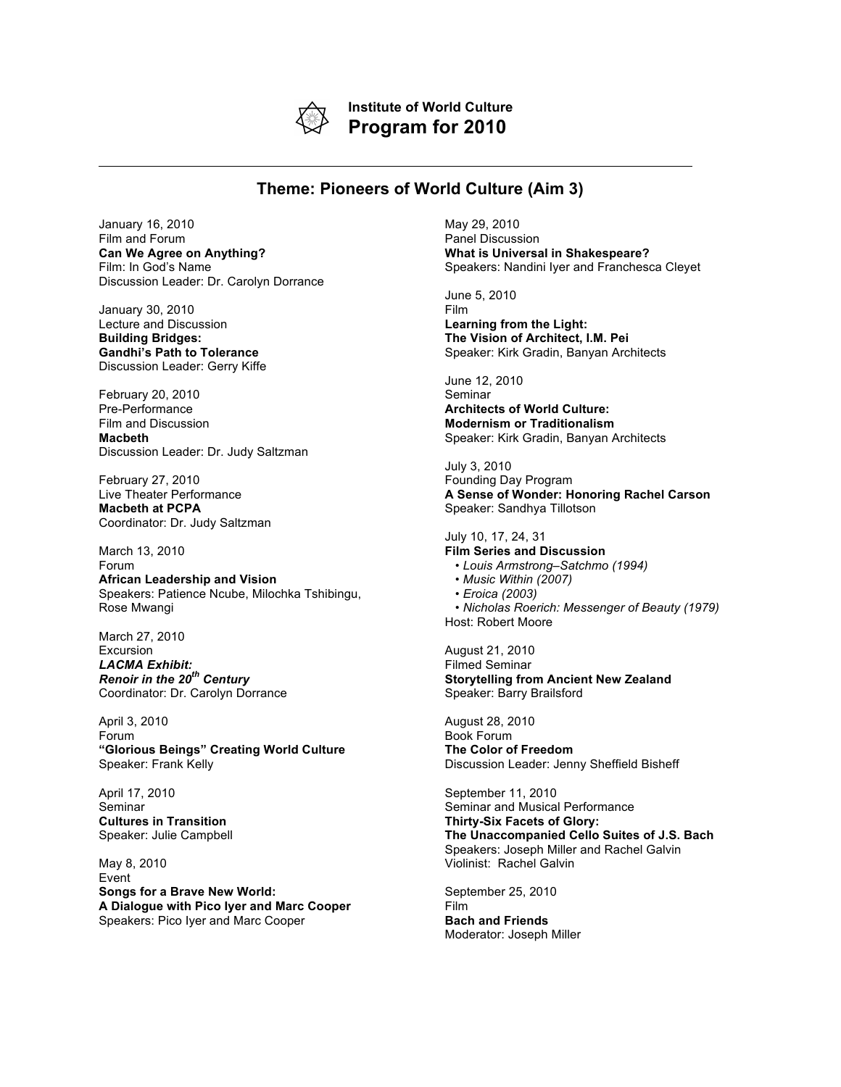

**Institute of World Culture Program for 2010**

## **Theme: Pioneers of World Culture (Aim 3)**

January 16, 2010 Film and Forum **Can We Agree on Anything?** Film: In God's Name Discussion Leader: Dr. Carolyn Dorrance

January 30, 2010 Lecture and Discussion **Building Bridges: Gandhi's Path to Tolerance** Discussion Leader: Gerry Kiffe

February 20, 2010 Pre-Performance Film and Discussion **Macbeth** Discussion Leader: Dr. Judy Saltzman

February 27, 2010 Live Theater Performance **Macbeth at PCPA** Coordinator: Dr. Judy Saltzman

March 13, 2010

Forum **African Leadership and Vision** Speakers: Patience Ncube, Milochka Tshibingu, Rose Mwangi

March 27, 2010 Excursion *LACMA Exhibit: Renoir in the 20th Century* Coordinator: Dr. Carolyn Dorrance

April 3, 2010 Forum **"Glorious Beings" Creating World Culture** Speaker: Frank Kelly

April 17, 2010 Seminar **Cultures in Transition** Speaker: Julie Campbell

May 8, 2010 Event **Songs for a Brave New World: A Dialogue with Pico Iyer and Marc Cooper** Speakers: Pico Iyer and Marc Cooper

May 29, 2010 Panel Discussion **What is Universal in Shakespeare?** Speakers: Nandini Iyer and Franchesca Cleyet

June 5, 2010 Film **Learning from the Light: The Vision of Architect, I.M. Pei** Speaker: Kirk Gradin, Banyan Architects

June 12, 2010 Seminar **Architects of World Culture: Modernism or Traditionalism** Speaker: Kirk Gradin, Banyan Architects

July 3, 2010 Founding Day Program **A Sense of Wonder: Honoring Rachel Carson** Speaker: Sandhya Tillotson

July 10, 17, 24, 31 **Film Series and Discussion** • *Louis Armstrong–Satchmo (1994)* • *Music Within (2007)* • *Eroica (2003)* • *Nicholas Roerich: Messenger of Beauty (1979)* Host: Robert Moore

August 21, 2010 Filmed Seminar **Storytelling from Ancient New Zealand** Speaker: Barry Brailsford

August 28, 2010 Book Forum **The Color of Freedom** Discussion Leader: Jenny Sheffield Bisheff

September 11, 2010 Seminar and Musical Performance **Thirty-Six Facets of Glory: The Unaccompanied Cello Suites of J.S. Bach** Speakers: Joseph Miller and Rachel Galvin Violinist: Rachel Galvin

September 25, 2010 Film **Bach and Friends** Moderator: Joseph Miller